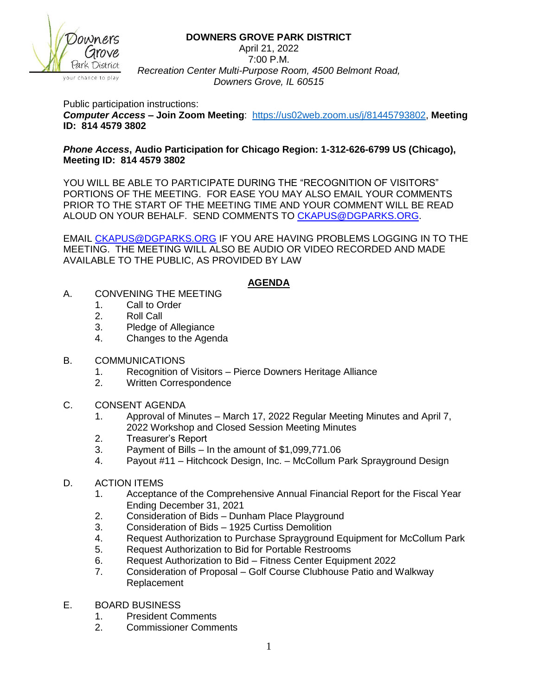

## **DOWNERS GROVE PARK DISTRICT**

April 21, 2022 7:00 P.M. *Recreation Center Multi-Purpose Room, 4500 Belmont Road, Downers Grove, IL 60515*

Public participation instructions:

*Computer Access* **– Join Zoom Meeting**: [https://us02web.zoom.us/j/81445793802,](https://us02web.zoom.us/j/81445793802) **Meeting ID: 814 4579 3802**

## *Phone Access***, Audio Participation for Chicago Region: 1-312-626-6799 US (Chicago), Meeting ID: 814 4579 3802**

YOU WILL BE ABLE TO PARTICIPATE DURING THE "RECOGNITION OF VISITORS" PORTIONS OF THE MEETING. FOR EASE YOU MAY ALSO EMAIL YOUR COMMENTS PRIOR TO THE START OF THE MEETING TIME AND YOUR COMMENT WILL BE READ ALOUD ON YOUR BEHALF. SEND COMMENTS TO [CKAPUS@DGPARKS.ORG.](mailto:CKAPUS@DGPARKS.ORG)

EMAIL [CKAPUS@DGPARKS.ORG](mailto:ckapus@dgparks.org) IF YOU ARE HAVING PROBLEMS LOGGING IN TO THE MEETING. THE MEETING WILL ALSO BE AUDIO OR VIDEO RECORDED AND MADE AVAILABLE TO THE PUBLIC, AS PROVIDED BY LAW

## **AGENDA**

- A. CONVENING THE MEETING
	- 1. Call to Order
	- 2. Roll Call
	- 3. Pledge of Allegiance
	- 4. Changes to the Agenda
- B. COMMUNICATIONS
	- 1. Recognition of Visitors Pierce Downers Heritage Alliance
	- 2. Written Correspondence
- C. CONSENT AGENDA
	- 1. Approval of Minutes March 17, 2022 Regular Meeting Minutes and April 7, 2022 Workshop and Closed Session Meeting Minutes
	- 2. Treasurer's Report
	- 3. Payment of Bills In the amount of \$1,099,771.06
	- 4. Payout #11 Hitchcock Design, Inc. McCollum Park Sprayground Design
- D. ACTION ITEMS
	- 1. Acceptance of the Comprehensive Annual Financial Report for the Fiscal Year Ending December 31, 2021
	- 2. Consideration of Bids Dunham Place Playground
	- 3. Consideration of Bids 1925 Curtiss Demolition
	- 4. Request Authorization to Purchase Sprayground Equipment for McCollum Park
	- 5. Request Authorization to Bid for Portable Restrooms
	- 6. Request Authorization to Bid Fitness Center Equipment 2022
	- 7. Consideration of Proposal Golf Course Clubhouse Patio and Walkway Replacement
- E. BOARD BUSINESS
	- 1. President Comments
	- 2. Commissioner Comments